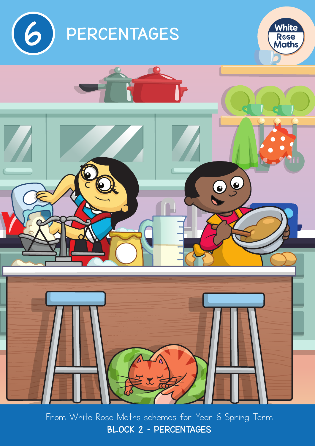





From White Rose Maths schemes for Year 6 Spring Term BLOCK 2 – PERCENTAGES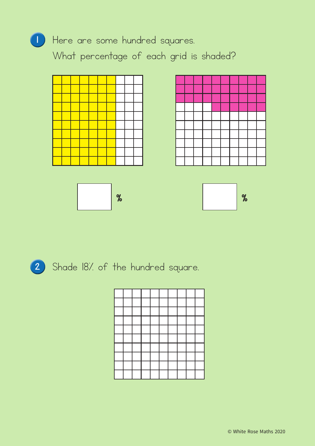

1 Here are some hundred squares.

What percentage of each grid is shaded?











2 Shade 18% of the hundred square.

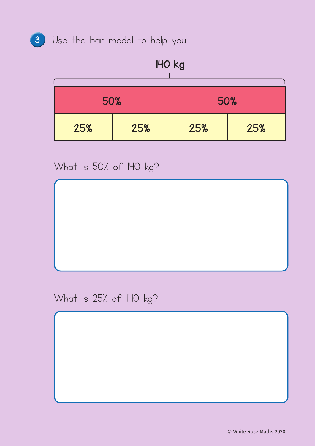

# <sup>3</sup> Use the bar model to help you.

# 140 kg

| 50% |     | 50% |     |  |
|-----|-----|-----|-----|--|
| 25% | 25% | 25% | 25% |  |

What is 50% of I40 kg?

What is 25% of I40 kg?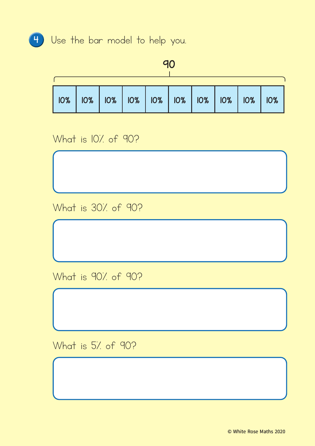

# <sup>4</sup> Use the bar model to help you.

#### 90

| 10%   10%   10%   10%   10%   10%   10%   10%   10% |  |  |  |  |  |
|-----------------------------------------------------|--|--|--|--|--|

# What is 10% of 90?

What is 30% of 90?

What is 90% of 90?

What is 5% of 90?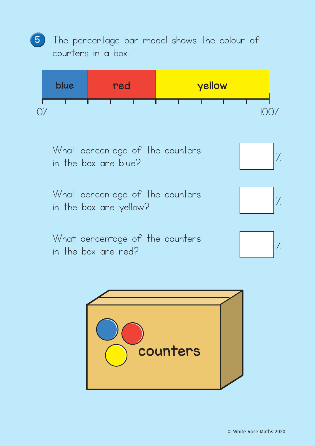<sup>5</sup> The percentage bar model shows the colour of counters in a box.





What percentage of the counters

What percentage of the counters what percentage of the counters  $|$   $\rangle$ 

What percentage of the counters what percentage of the counters  $\begin{bmatrix} 7 \end{bmatrix}$ 







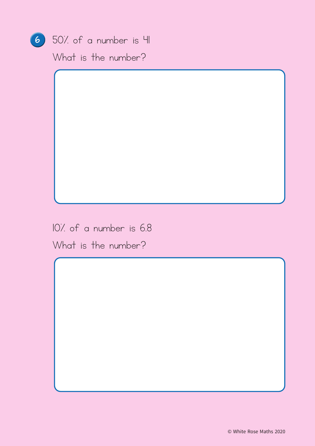

## 6 50% of a number is 41

What is the number?

10% of a number is 6.8

What is the number?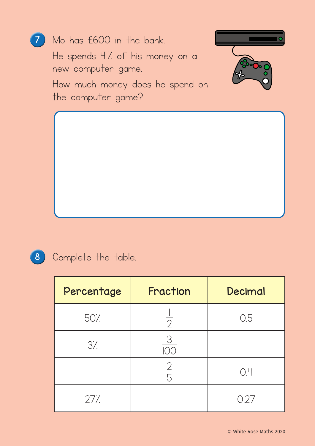

## 8 Complete the table.

| Percentage | Fraction       | Decimal |
|------------|----------------|---------|
| 50%        | $\overline{2}$ | 0.5     |
| 3/2        | $\overline{3}$ |         |
|            | $rac{2}{5}$    | OЧ      |
| 277.       |                | 027     |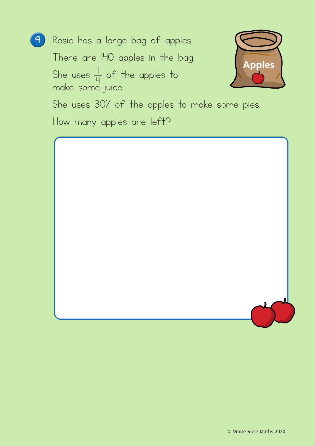

<sup>9</sup> Rosie has a large bag of apples.

There are 140 apples in the bag. She uses  $\frac{1}{L}$  $\frac{1}{2}$  of the apples to make some juice.



She uses 30% of the apples to make some pies.

How many apples are left?